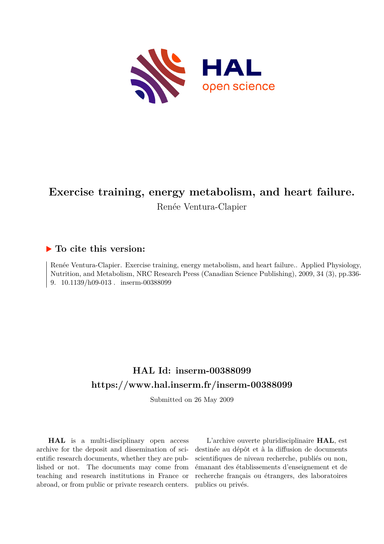

# **Exercise training, energy metabolism, and heart failure.**

Renée Ventura-Clapier

# **To cite this version:**

Renée Ventura-Clapier. Exercise training, energy metabolism, and heart failure.. Applied Physiology, Nutrition, and Metabolism, NRC Research Press (Canadian Science Publishing), 2009, 34 (3), pp.336- 9.  $10.1139/h09-013$ . inserm-00388099

# **HAL Id: inserm-00388099 <https://www.hal.inserm.fr/inserm-00388099>**

Submitted on 26 May 2009

**HAL** is a multi-disciplinary open access archive for the deposit and dissemination of scientific research documents, whether they are published or not. The documents may come from teaching and research institutions in France or abroad, or from public or private research centers.

L'archive ouverte pluridisciplinaire **HAL**, est destinée au dépôt et à la diffusion de documents scientifiques de niveau recherche, publiés ou non, émanant des établissements d'enseignement et de recherche français ou étrangers, des laboratoires publics ou privés.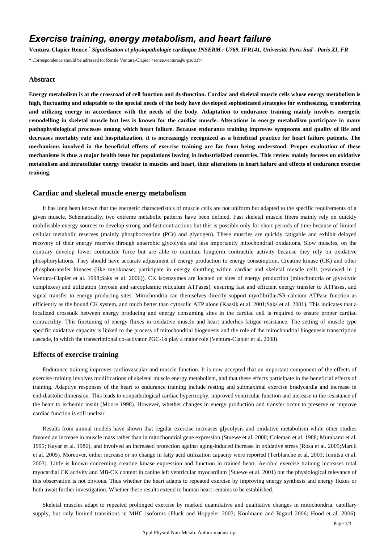# *Exercise training, energy metabolism, and heart failure*

**Ventura-Clapier Ren**é**e** \* *Signalisation et physiopathologie cardiaque INSERM : U769, IFR141, Universit*é *Paris Sud - Paris XI, FR*

\* Correspondence should be adressed to: Renée Ventura-Clapier <renee.ventura@u-psud.fr>

#### **Abstract**

**Energy metabolism is at the crossroad of cell function and dysfunction. Cardiac and skeletal muscle cells whose energy metabolism is high, fluctuating and adaptable to the special needs of the body have developed sophisticated strategies for synthesizing, transferring and utilizing energy in accordance with the needs of the body. Adaptation to endurance training mainly involves energetic remodelling in skeletal muscle but less is known for the cardiac muscle. Alterations in energy metabolism participate in many pathophysiological processes among which heart failure. Because endurance training improves symptoms and quality of life and decreases mortality rate and hospitalization, it is increasingly recognized as a beneficial practice for heart failure patients. The mechanisms involved in the beneficial effects of exercise training are far from being understood. Proper evaluation of these mechanisms is thus a major health issue for populations leaving in industrialized countries. This review mainly focuses on oxidative metabolism and intracellular energy transfer in muscles and heart, their alterations in heart failure and effects of endurance exercise training.**

### **Cardiac and skeletal muscle energy metabolism**

It has long been known that the energetic characteristics of muscle cells are not uniform but adapted to the specific requirements of a given muscle. Schematically, two extreme metabolic patterns have been defined. Fast skeletal muscle fibers mainly rely on quickly mobilisable energy sources to develop strong and fast contractions but this is possible only for short periods of time because of limited cellular metabolic reserves (mainly phosphocreatine (PCr) and glycogen). These muscles are quickly fatigable and exhibit delayed recovery of their energy reserves through anaerobic glycolysis and less importantly mitochondrial oxidations. Slow muscles, on the contrary develop lower contractile force but are able to maintain longterm contractile activity because they rely on oxidative phosphorylations. They should have accurate adjustment of energy production to energy consumption. Creatine kinase (CK) and other phosphotransfer kinases (like myokinase) participate in energy shuttling within cardiac and skeletal muscle cells (reviewed in ( Ventura-Clapier et al. 1998;Saks et al. 2006)). CK isoenzymes are located on sites of energy production (mitochondria or glycolytic complexes) and utilization (myosin and sarcoplasmic reticulum ATPases), ensuring fast and efficient energy transfer to ATPases, and signal transfer to energy producing sites. Mitochondria can themselves directly support myofibrillar/SR-calcium ATPase function as efficiently as the bound CK system, and much better than cytosolic ATP alone (Kaasik et al. 2001;Saks et al. 2001). This indicates that a localized crosstalk between energy producing and energy consuming sites in the cardiac cell is required to ensure proper cardiac contractility. This finetuning of energy fluxes in oxidative muscle and heart underlies fatigue resistance. The setting of muscle type specific oxidative capacity is linked to the process of mitochondrial biogenesis and the role of the mitochondrial biogenesis transcription cascade, in which the transcriptional co-activator PGC-1α play a major role (Ventura-Clapier et al. 2008).

#### **Effects of exercise training**

Endurance training improves cardiovascular and muscle function. It is now accepted that an important component of the effects of exercise training involves modifications of skeletal muscle energy metabolism, and that these effects participate in the beneficial effects of training. Adaptive responses of the heart to endurance training include resting and submaximal exercise bradycardia and increase in end-diastolic dimension. This leads to nonpathological cardiac hypertrophy, improved ventricular function and increase in the resistance of the heart to ischemic insult (Moore 1998). However, whether changes in energy production and transfer occur to preserve or improve cardiac function is still unclear.

Results from animal models have shown that regular exercise increases glycolysis and oxidative metabolism while other studies favored an increase in muscle mass rather than in mitochondrial gene expression (Stuewe et al. 2000; Coleman et al. 1988; Murakami et al. 1995; Kayar et al. 1986), and involved an increased protection against aging-induced increase in oxidative stress (Rosa et al. 2005;Marcil et al. 2005). Moreover, either increase or no change in fatty acid utilization capacity were reported (Terblanche et al. 2001; Iemitsu et al. 2003). Little is known concerning creatine kinase expression and function in trained heart. Aerobic exercise training increases total myocardial CK activity and MB-CK content in canine left ventricular myocardium (Stuewe et al. 2001) but the physiological relevance of this observation is not obvious. Thus whether the heart adapts to repeated exercise by improving energy synthesis and energy fluxes or both await further investigation. Whether these results extend to human heart remains to be established.

Skeletal muscles adapt to repeated prolonged exercise by marked quantitative and qualitative changes in mitochondria, capillary supply, but only limited transitions in MHC isoforms (Fluck and Hoppeler 2003; Koulmann and Bigard 2006; Hood et al. 2006).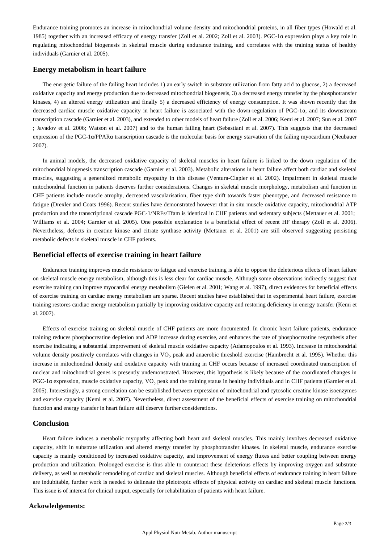Endurance training promotes an increase in mitochondrial volume density and mitochondrial proteins, in all fiber types (Howald et al. 1985) together with an increased efficacy of energy transfer (Zoll et al. 2002; Zoll et al. 2003). PGC-1α expression plays a key role in regulating mitochondrial biogenesis in skeletal muscle during endurance training, and correlates with the training status of healthy individuals (Garnier et al. 2005).

### **Energy metabolism in heart failure**

The energetic failure of the failing heart includes 1) an early switch in substrate utilization from fatty acid to glucose, 2) a decreased oxidative capacity and energy production due to decreased mitochondrial biogenesis, 3) a decreased energy transfer by the phosphotransfer kinases, 4) an altered energy utilization and finally 5) a decreased efficiency of energy consumption. It was shown recently that the decreased cardiac muscle oxidative capacity in heart failure is associated with the down-regulation of PGC-1α, and its downstream transcription cascade (Garnier et al. 2003), and extended to other models of heart failure (Zoll et al. 2006; Kemi et al. 2007; Sun et al. 2007 ; Javadov et al. 2006; Watson et al. 2007) and to the human failing heart (Sebastiani et al. 2007). This suggests that the decreased expression of the PGC-1α/PPARα transcription cascade is the molecular basis for energy starvation of the failing myocardium (Neubauer 2007).

In animal models, the decreased oxidative capacity of skeletal muscles in heart failure is linked to the down regulation of the mitochondrial biogenesis transcription cascade (Garnier et al. 2003). Metabolic alterations in heart failure affect both cardiac and skeletal muscles, suggesting a generalized metabolic myopathy in this disease (Ventura-Clapier et al. 2002). Impairment in skeletal muscle mitochondrial function in patients deserves further considerations. Changes in skeletal muscle morphology, metabolism and function in CHF patients include muscle atrophy, decreased vascularisation, fiber type shift towards faster phenotype, and decreased resistance to fatigue (Drexler and Coats 1996). Recent studies have demonstrated however that in situ muscle oxidative capacity, mitochondrial ATP production and the transcriptional cascade PGC-1/NRFs/Tfam is identical in CHF patients and sedentary subjects (Mettauer et al. 2001; Williams et al. 2004; Garnier et al. 2005). One possible explanation is a beneficial effect of recent HF therapy (Zoll et al. 2006). Nevertheless, defects in creatine kinase and citrate synthase activity (Mettauer et al. 2001) are still observed suggesting persisting metabolic defects in skeletal muscle in CHF patients.

### **Beneficial effects of exercise training in heart failure**

Endurance training improves muscle resistance to fatigue and exercise training is able to oppose the deleterious effects of heart failure on skeletal muscle energy metabolism, although this is less clear for cardiac muscle. Although some observations indirectly suggest that exercise training can improve myocardial energy metabolism (Gielen et al. 2001; Wang et al. 1997), direct evidences for beneficial effects of exercise training on cardiac energy metabolism are sparse. Recent studies have established that in experimental heart failure, exercise training restores cardiac energy metabolism partially by improving oxidative capacity and restoring deficiency in energy transfer (Kemi et al. 2007).

Effects of exercise training on skeletal muscle of CHF patients are more documented. In chronic heart failure patients, endurance training reduces phosphocreatine depletion and ADP increase during exercise, and enhances the rate of phosphocreatine resynthesis after exercise indicating a substantial improvement of skeletal muscle oxidative capacity (Adamopoulos et al. 1993). Increase in mitochondrial volume density positively correlates with changes in VO<sub>2</sub> peak and anaerobic threshold exercise (Hambrecht et al. 1995). Whether this increase in mitochondrial density and oxidative capacity with training in CHF occurs because of increased coordinated transcription of nuclear and mitochondrial genes is presently undemonstrated. However, this hypothesis is likely because of the coordinated changes in PGC-1α expression, muscle oxidative capacity, VO<sub>2</sub> peak and the training status in healthy individuals and in CHF patients (Garnier et al. 2005). Interestingly, a strong correlation can be established between expression of mitochondrial and cytosolic creatine kinase isoenzymes and exercise capacity (Kemi et al. 2007). Nevertheless, direct assessment of the beneficial effects of exercise training on mitochondrial function and energy transfer in heart failure still deserve further considerations.

## **Conclusion**

Heart failure induces a metabolic myopathy affecting both heart and skeletal muscles. This mainly involves decreased oxidative capacity, shift in substrate utilization and altered energy transfer by phosphotransfer kinases. In skeletal muscle, endurance exercise capacity is mainly conditioned by increased oxidative capacity, and improvement of energy fluxes and better coupling between energy production and utilization. Prolonged exercise is thus able to counteract these deleterious effects by improving oxygen and substrate delivery, as well as metabolic remodeling of cardiac and skeletal muscles. Although beneficial effects of endurance training in heart failure are indubitable, further work is needed to delineate the pleiotropic effects of physical activity on cardiac and skeletal muscle functions. This issue is of interest for clinical output, especially for rehabilitation of patients with heart failure.

#### **Ackowledgements:**